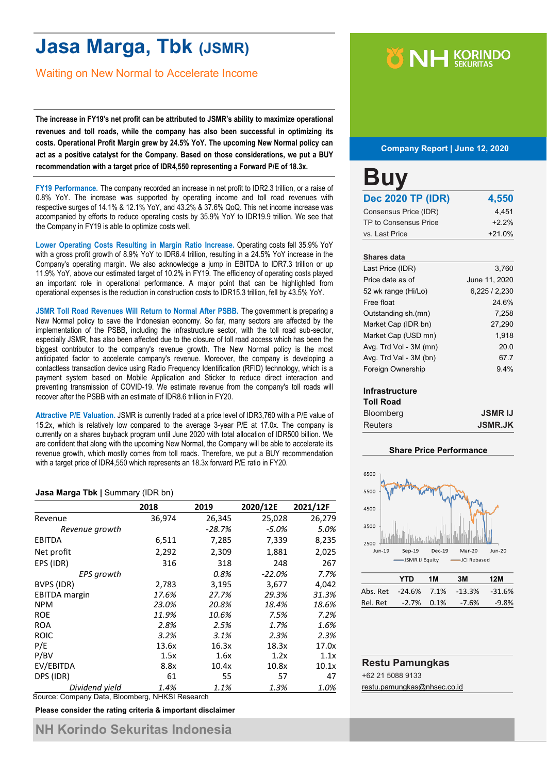# **Jasa Marga, Tbk (JSMR)**

Waiting on New Normal to Accelerate Income

**The increase in FY19's net profit can be attributed to JSMR's ability to maximize operational revenues and toll roads, while the company has also been successful in optimizing its costs. Operational Profit Margin grew by 24.5% YoY. The upcoming New Normal policy can act as a positive catalyst for the Company. Based on those considerations, we put a BUY recommendation with a target price of IDR4,550 representing a Forward P/E of 18.3x.**

**FY19 Performance.** The company recorded an increase in net profit to IDR2.3 trillion, or a raise of 0.8% YoY. The increase was supported by operating income and toll road revenues with respective surges of 14.1% & 12.1% YoY, and 43.2% & 37.6% QoQ. This net income increase was accompanied by efforts to reduce operating costs by 35.9% YoY to IDR19.9 trillion. We see that the Company in FY19 is able to optimize costs well.

**Lower Operating Costs Resulting in Margin Ratio Increase.** Operating costs fell 35.9% YoY with a gross profit growth of 8.9% YoY to IDR6.4 trillion, resulting in a 24.5% YoY increase in the Company's operating margin. We also acknowledge a jump in EBITDA to IDR7.3 trillion or up 11.9% YoY, above our estimated target of 10.2% in FY19. The efficiency of operating costs played an important role in operational performance. A major point that can be highlighted from operational expenses is the reduction in construction costs to IDR15.3 trillion, fell by 43.5% YoY.

**JSMR Toll Road Revenues Will Return to Normal After PSBB.** The government is preparing a New Normal policy to save the Indonesian economy. So far, many sectors are affected by the implementation of the PSBB, including the infrastructure sector, with the toll road sub-sector, especially JSMR, has also been affected due to the closure of toll road access which has been the biggest contributor to the company's revenue growth. The New Normal policy is the most anticipated factor to accelerate company's revenue. Moreover, the company is developing a contactless transaction device using Radio Frequency Identification (RFID) technology, which is a payment system based on Mobile Application and Sticker to reduce direct interaction and preventing transmission of COVID-19. We estimate revenue from the company's toll roads will recover after the PSBB with an estimate of IDR8.6 trillion in FY20.

**Attractive P/E Valuation.** JSMR is currently traded at a price level of IDR3,760 with a P/E value of 15.2x, which is relatively low compared to the average 3-year P/E at 17.0x. The company is currently on a shares buyback program until June 2020 with total allocation of IDR500 billion. We are confident that along with the upcoming New Normal, the Company will be able to accelerate its revenue growth, which mostly comes from toll roads. Therefore, we put a BUY recommendation with a target price of IDR4,550 which represents an 18.3x forward P/E ratio in FY20.

#### **Jasa Marga Tbk |** Summary (IDR bn)

|                      | 2018   | 2019     | 2020/12E  | 2021/12F |
|----------------------|--------|----------|-----------|----------|
| Revenue              | 36,974 | 26,345   | 25,028    | 26,279   |
| Revenue growth       |        | $-28.7%$ | $-5.0\%$  | 5.0%     |
| <b>EBITDA</b>        | 6,511  | 7,285    | 7,339     | 8,235    |
| Net profit           | 2,292  | 2,309    | 1,881     | 2,025    |
| EPS (IDR)            | 316    | 318      | 248       | 267      |
| EPS growth           |        | 0.8%     | $-22.0\%$ | 7.7%     |
| BVPS (IDR)           | 2,783  | 3,195    | 3,677     | 4,042    |
| <b>EBITDA</b> margin | 17.6%  | 27.7%    | 29.3%     | 31.3%    |
| <b>NPM</b>           | 23.0%  | 20.8%    | 18.4%     | 18.6%    |
| <b>ROE</b>           | 11.9%  | 10.6%    | 7.5%      | 7.2%     |
| <b>ROA</b>           | 2.8%   | 2.5%     | 1.7%      | 1.6%     |
| <b>ROIC</b>          | 3.2%   | 3.1%     | 2.3%      | 2.3%     |
| P/E                  | 13.6x  | 16.3x    | 18.3x     | 17.0x    |
| P/BV                 | 1.5x   | 1.6x     | 1.2x      | 1.1x     |
| EV/EBITDA            | 8.8x   | 10.4x    | 10.8x     | 10.1x    |
| DPS (IDR)            | 61     | 55       | 57        | 47       |
| Dividend yield       | 1.4%   | 1.1%     | 1.3%      | 1.0%     |

Source: Company Data, Bloomberg, NHKSI Research

**Please consider the rating criteria & important disclaimer**

# **Y NH KORINDO**

#### **Company Report | June 12, 2020**

| <b>Buy</b>               |          |
|--------------------------|----------|
| <b>Dec 2020 TP (IDR)</b> | 4,550    |
| Consensus Price (IDR)    | 4,451    |
| TP to Consensus Price    | $+2.2%$  |
| vs. Last Price           | $+21.0%$ |

#### **Shares data**

| Last Price (IDR)       | 3,760         |
|------------------------|---------------|
| Price date as of       | June 11, 2020 |
| 52 wk range (Hi/Lo)    | 6,225/2,230   |
| Free float             | 24.6%         |
| Outstanding sh.(mn)    | 7.258         |
| Market Cap (IDR bn)    | 27,290        |
| Market Cap (USD mn)    | 1,918         |
| Avg. Trd Vol - 3M (mn) | 20.0          |
| Avg. Trd Val - 3M (bn) | 67.7          |
| Foreign Ownership      | 9.4%          |
|                        |               |

#### **Infrastructure**

| <b>Toll Road</b> |                |
|------------------|----------------|
| <b>Bloomberg</b> | <b>JSMRIJ</b>  |
| <b>Reuters</b>   | <b>JSMR.JK</b> |

#### **Share Price Performance**



|                                    | YTD           | 1M | 3M    | 12M      |
|------------------------------------|---------------|----|-------|----------|
| Abs. Ret -24.6% 7.1% -13.3% -31.6% |               |    |       |          |
| Rel. Ret                           | $-2.7\%$ 0.1% |    | -7.6% | $-9.8\%$ |

### **Restu Pamungkas**

+62 21 5088 9133

[restu.pamungkas@nhsec.co.id](mailto:restu.pamungkas@nhsec.co.id)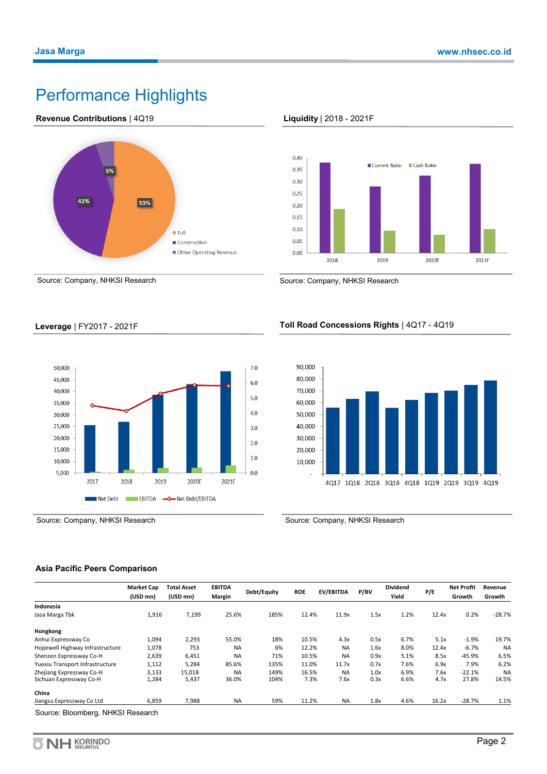## Performance Highlights











Source: Company, NHKSI Research Source: Company, NHKSI Research

**Leverage** | FY2017 - 2021F



#### **Toll Road Concessions Rights** | 4Q17 - 4Q19



Source: Company, NHKSI Research Source: Company, NHKSI Research

#### **Asia Pacific Peers Comparison**

| Margin<br>25.6% | Debt/Equity<br>185% | <b>ROE</b> | EV/EBITDA | P/BV  | Yield | P/E   | Growth   | Growth    |
|-----------------|---------------------|------------|-----------|-------|-------|-------|----------|-----------|
|                 |                     |            |           |       |       |       |          |           |
|                 |                     |            |           |       |       |       |          |           |
|                 |                     | 12.4%      | 11.9x     | 1.5x  | 1.2%  | 12.4x | 0.2%     | $-28.7%$  |
|                 |                     |            |           |       |       |       |          |           |
| 55.0%           | 18%                 | 10.5%      | 4.3x      | 0.5x  | 6.7%  | 5.1x  | $-1.9%$  | 19.7%     |
| <b>NA</b>       | 6%                  | 12.2%      | <b>NA</b> | 1.6x  | 8.0%  | 12.4x | $-6.7%$  | <b>NA</b> |
| <b>NA</b>       | 71%                 | 10.5%      | <b>NA</b> | 0.9x  | 5.1%  | 8.5x  | $-45.9%$ | 6.5%      |
| 85.6%           | 135%                | 11.0%      | 11.7x     | 0.7x  | 7.6%  | 6.9x  | 7.9%     | 6.2%      |
| <b>NA</b>       | 149%                | 16.5%      | <b>NA</b> | 1.0x  | 6.9%  | 7.6x  | $-22.1%$ | <b>NA</b> |
| 36.0%           | 104%                | 7.3%       | 7.6x      | 0.3x  | 6.6%  | 4.7x  | 27.8%    | 14.5%     |
|                 |                     |            |           |       |       |       |          |           |
| <b>NA</b>       | 59%                 |            | <b>NA</b> | 1.8x  | 4.6%  | 16.2x | $-28.7%$ | 1.1%      |
|                 |                     |            |           | 11.2% |       |       |          |           |

**KORINDO**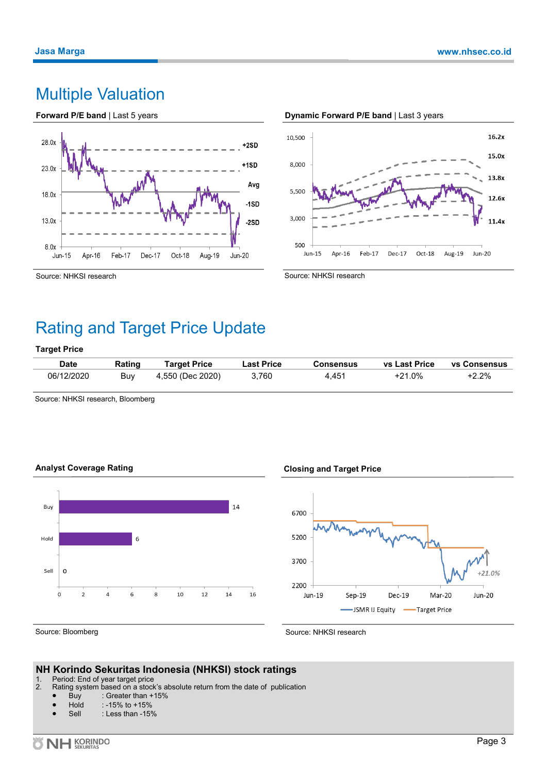### Multiple Valuation





#### **Dynamic Forward P/E band** | Last 3 years

Source: NHKSI research

Source: NHKSI research

### Rating and Target Price Update

#### **Target Price**

| <b>Date</b> | Rating | <b>Target Price</b> | <b>Last Price</b> | <b>Consensus</b> | <b>vs Last Price</b> | <b>vs Consensus</b> |
|-------------|--------|---------------------|-------------------|------------------|----------------------|---------------------|
| 06/12/2020  | Buy    | 4,550 (Dec 2020)    | 3,760             | 4.451            | $+21.0%$             | $+2.2%$             |

Source: NHKSI research, Bloomberg





#### **Closing and Target Price**



Source: Bloomberg

Source: NHKSI research

#### **NH Korindo Sekuritas Indonesia (NHKSI) stock ratings**

1. Period: End of year target price<br>2. Rating system based on a stock

- Rating system based on a stock's absolute return from the date of publication
	- Buy : Greater than  $+15%$ <br>Hold : -15% to  $+15%$
	- $: -15\%$  to  $+15\%$
	- Sell : Less than -15%